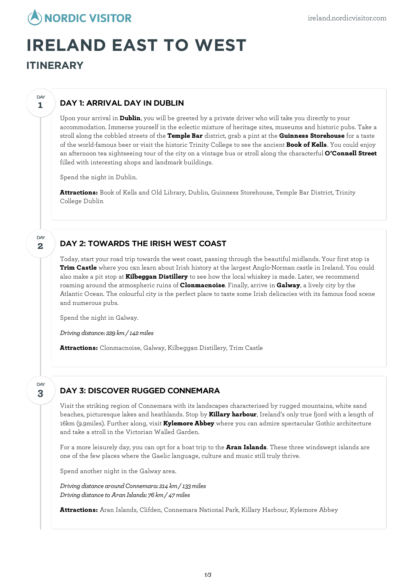

# **IRELAND EAST TO WEST**

**ITINERARY**

**1**

**DAY** 

# DAY 1: ARRIVAL DAY IN DUBLIN

Upon your arrival in **Dublin**, you will be greeted by a private driver who will take you directly to your accommodation. Immerse yourself in the eclectic mixture of heritage sites, museums and historic pubs. Take a stroll along the cobbled streets of the **Temple Bar** district, grab a pint at the **Guinness Storehouse** for a taste of the world-famous beer or visit the historic Trinity College to see the ancient **Book of Kells**. You could enjoy an afternoon tea sightseeing tour of the city on a vintage bus or stroll along the characterful **O'Connell Street** filled with interesting shops and landmark buildings.

Spend the night in Dublin.

**Attractions:** Book of Kells and Old Library, Dublin, Guinness Storehouse, Temple Bar District, Trinity College Dublin

#### **2 DAY**

**3**

DAY

# DAY 2: TOWARDS THE IRISH WEST COAST

Today, start your road trip towards the west coast, passing through the beautiful midlands. Your first stop is **Trim Castle** where you can learn about Irish history at the largest Anglo-Norman castle in Ireland. You could also make a pit stop at **Kilbeggan Distillery** to see how the local whiskey is made. Later, we recommend roaming around the atmospheric ruins of **Clonmacnoise**. Finally, arrive in **Galway**, a lively city by the Atlantic Ocean. The colourful city is the perfect place to taste some Irish delicacies with its famous food scene and numerous pubs.

Spend the night in Galway.

*Driving distance: 229 km/ 142miles*

**Attractions:** Clonmacnoise, Galway, Kilbeggan Distillery, Trim Castle

# DAY 3: DISCOVER RUGGED CONNEMARA

Visit the striking region of Connemara with its landscapes characterised by rugged mountains, white sand beaches, picturesque lakes and heathlands. Stop by **Killary harbour**, Ireland's only true fjord with a length of 16km (9.9miles). Further along, visit **Kylemore Abbey** where you can admire spectacular Gothic architecture and take a stroll in the Victorian Walled Garden.

For a more leisurely day, you can opt for a boat trip to the **Aran Islands**. These three windswept islands are one of the few places where the Gaelic language, culture and music still truly thrive.

Spend another night in the Galway area.

*Driving distance aroundConnemara: 214 km/ 133miles Driving distanceto Aran Islands: 76 km/ 47miles*

**Attractions:** Aran Islands, Clifden, Connemara National Park, Killary Harbour, Kylemore Abbey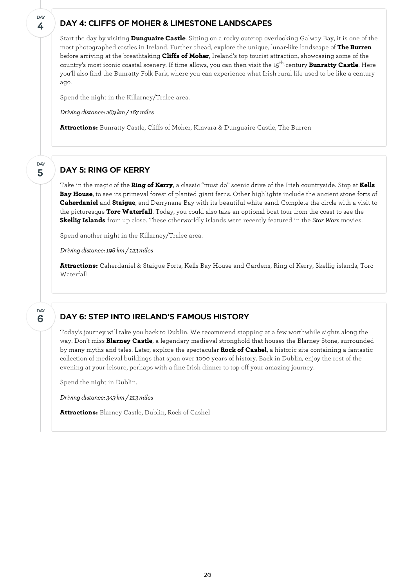## DAY 4: CLIFFS OF MOHER & LIMESTONE LANDSCAPES

Start the day by visiting **Dunguaire Castle**. Sitting on a rocky outcrop overlooking Galway Bay, it is one of the most photographed castles in Ireland. Further ahead, explore the unique, lunar-like landscape of **The Burren** before arriving at the breathtaking **Cliffs of Moher**, Ireland's top tourist attraction, showcasing some of the country's most iconic coastal scenery. If time allows, you can then visit the 15<sup>th</sup>-century **Bunratty Castle**. Here you'll also find the Bunratty Folk Park, where you can experience what Irish rural life used to be like a century ago.

Spend the night in the Killarney/Tralee area.

*Driving distance: 269 km/ 167miles*

**Attractions:** Bunratty Castle, Cliffs of Moher, Kinvara & Dunguaire Castle, The Burren

#### **5** DAY

**4**

**DAY** 

## DAY 5: RING OF KERRY

Take in the magic of the **Ring of Kerry**, a classic "must do" scenic drive of the Irish countryside. Stop at **Kells Bay House**, to see its primeval forest of planted giant ferns. Other highlights include the ancient stone forts of **Caherdaniel** and **Staigue**, and Derrynane Bay with its beautiful white sand. Complete the circle with a visit to the picturesque **Torc Waterfall**. Today, you could also take an optional boat tour from the coast to see the **Skellig Islands** from up close. These otherworldly islands were recently featured in the *Star Wars* movies.

Spend another night in the Killarney/Tralee area.

*Driving distance:198 km/ 123miles*

**Attractions:** Caherdaniel & Staigue Forts, Kells Bay House and Gardens, Ring of Kerry, Skellig islands, Torc Waterfall

#### **6** DAY

### DAY 6: STEP INTO IRELAND'S FAMOUS HISTORY

Today's journey will take you back to Dublin. We recommend stopping at a few worthwhile sights along the way. Don't miss **Blarney Castle**, a legendary medieval stronghold that houses the Blarney Stone, surrounded by many myths and tales. Later, explore the spectacular **Rock of Cashel**, a historic site containing a fantastic collection of medieval buildings that span over 1000 years of history. Back in Dublin, enjoy the rest of the evening at your leisure, perhaps with a fine Irish dinner to top off your amazing journey.

Spend the night in Dublin.

*Driving distance: 343 km/ 213miles*

**Attractions:** Blarney Castle, Dublin, Rock of Cashel